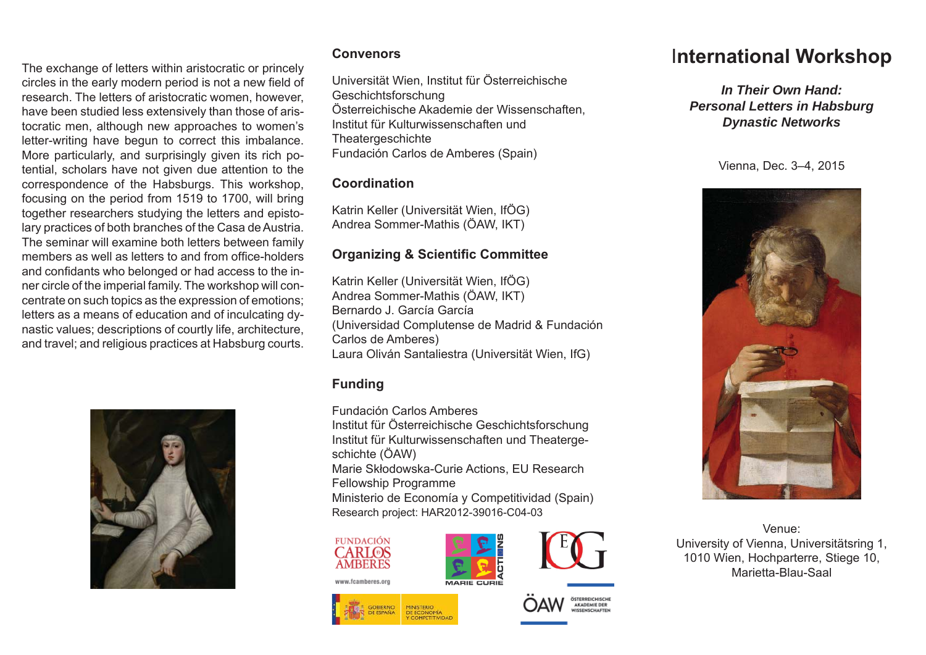The exchange of letters within aristocratic or princely circles in the early modern period is not a new field of research. The letters of aristocratic women, however, have been studied less extensively than those of aristocratic men, although new approaches to women's letter-writing have begun to correct this imbalance. More particularly, and surprisingly given its rich potential, scholars have not given due attention to the correspondence of the Habsburgs. This workshop, focusing on the period from 1519 to 1700, will bring together researchers studying the letters and epistolary practices of both branches of the Casa de Austria. The seminar will examine both letters between family members as well as letters to and from office-holders and confidants who belonged or had access to the inner circle of the imperial family. The workshop will concentrate on such topics as the expression of emotions; letters as a means of education and of inculcating dynastic values; descriptions of courtly life, architecture, and travel; and religious practices at Habsburg courts.



#### **Convenors**

Universität Wien, Institut für Österreichische Geschichtsforschung Österreichische Akademie der Wissenschaften, Institut für Kulturwissenschaften und**Theatergeschichte** Fundación Carlos de Amberes (Spain)

### **Coordination**

Katrin Keller (Universität Wien, IfÖG) Andrea Sommer-Mathis (ÖAW, IKT)

## **Organizing & Scienti fi c Committee**

Katrin Keller (Universität Wien, IfÖG) Andrea Sommer-Mathis (ÖAW, IKT) Bernardo J. García García(Universidad Complutense de Madrid & Fundación Carlos de Amberes) Laura Oliván Santaliestra (Universität Wien, IfG)

## **Funding**

Fundación Carlos Amberes

Institut für Österreichische Geschichtsforschung Institut für Kulturwissenschaften und Theatergeschichte (ÖAW)

Marie Skłodowska-Curie Actions, EU Research Fellowship Programme

Ministerio de Economía y Competitividad (Spain) Research project: HAR2012-39016-C04-03

#### **FUNDACIÓN CARLOS AMBERES**





# I**nternational Workshop**

*In Their Own Hand:Personal Letters in Habsburg Dynastic Networks*

Vienna, Dec. 3–4, 2015



Venue:University of Vienna, Universitätsring 1, 1010 Wien, Hochparterre, Stiege 10, Marietta-Blau-Saal

www.fcamberes.org